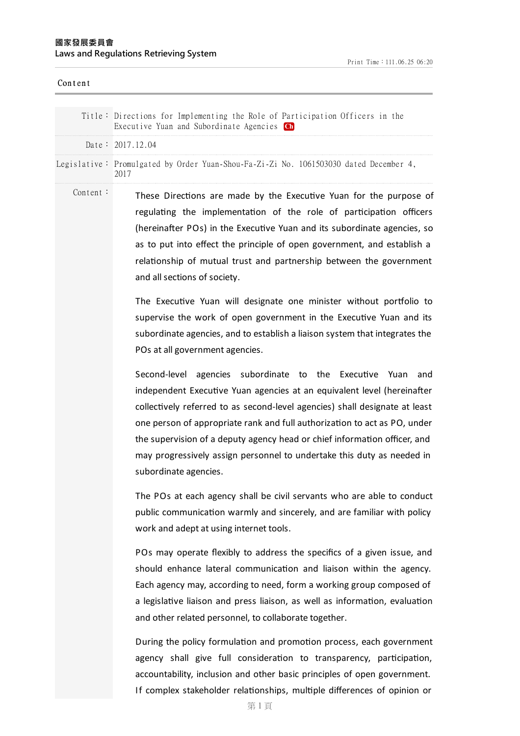| Content  |                                                                                                                                                                                                                                                                                                                                                                                                                                                                                       |
|----------|---------------------------------------------------------------------------------------------------------------------------------------------------------------------------------------------------------------------------------------------------------------------------------------------------------------------------------------------------------------------------------------------------------------------------------------------------------------------------------------|
|          | Title: Directions for Implementing the Role of Participation Officers in the<br>Executive Yuan and Subordinate Agencies Ch                                                                                                                                                                                                                                                                                                                                                            |
|          | Date: $2017.12.04$                                                                                                                                                                                                                                                                                                                                                                                                                                                                    |
|          | Legislative: Promulgated by Order Yuan-Shou-Fa-Zi-Zi No. 1061503030 dated December 4,<br>2017                                                                                                                                                                                                                                                                                                                                                                                         |
| Content: | These Directions are made by the Executive Yuan for the purpose of<br>regulating the implementation of the role of participation officers<br>(hereinafter POs) in the Executive Yuan and its subordinate agencies, so<br>as to put into effect the principle of open government, and establish a<br>relationship of mutual trust and partnership between the government<br>and all sections of society.                                                                               |
|          | The Executive Yuan will designate one minister without portfolio to<br>supervise the work of open government in the Executive Yuan and its<br>subordinate agencies, and to establish a liaison system that integrates the<br>POs at all government agencies.                                                                                                                                                                                                                          |
|          | Second-level agencies subordinate to the Executive Yuan<br>and<br>independent Executive Yuan agencies at an equivalent level (hereinafter<br>collectively referred to as second-level agencies) shall designate at least<br>one person of appropriate rank and full authorization to act as PO, under<br>the supervision of a deputy agency head or chief information officer, and<br>may progressively assign personnel to undertake this duty as needed in<br>subordinate agencies. |
|          | The POs at each agency shall be civil servants who are able to conduct<br>public communication warmly and sincerely, and are familiar with policy<br>work and adept at using internet tools.                                                                                                                                                                                                                                                                                          |
|          | POs may operate flexibly to address the specifics of a given issue, and<br>should enhance lateral communication and liaison within the agency.<br>Each agency may, according to need, form a working group composed of<br>a legislative liaison and press liaison, as well as information, evaluation<br>and other related personnel, to collaborate together.                                                                                                                        |
|          | During the policy formulation and promotion process, each government<br>agency shall give full consideration to transparency, participation,<br>accountability, inclusion and other basic principles of open government.                                                                                                                                                                                                                                                              |

第 1 頁

If complex stakeholder relationships, multiple differences of opinion or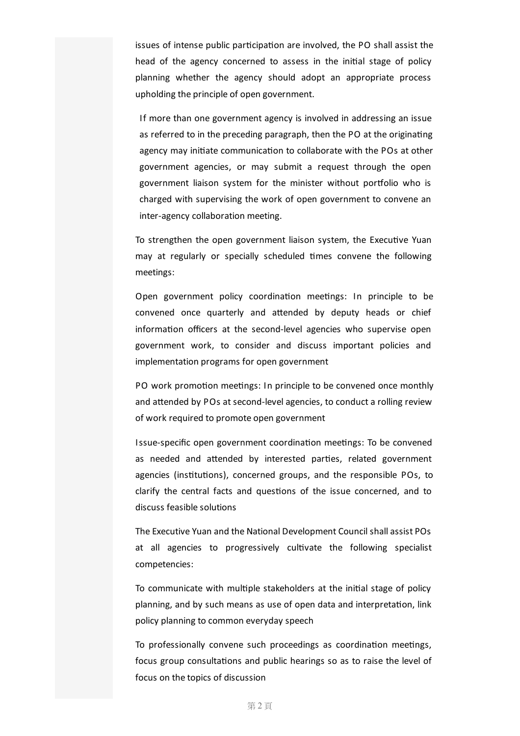issues of intense public participation are involved, the PO shall assist the head of the agency concerned to assess in the initial stage of policy planning whether the agency should adopt an appropriate process upholding the principle of open government.

If more than one government agency is involved in addressing an issue as referred to in the preceding paragraph, then the PO at the originating agency may initiate communication to collaborate with the POs at other government agencies, or may submit a request through the open government liaison system for the minister without portfolio who is charged with supervising the work of open government to convene an inter-agency collaboration meeting.

To strengthen the open government liaison system, the Executive Yuan may at regularly or specially scheduled times convene the following meetings:

Open government policy coordination meetings: In principle to be convened once quarterly and attended by deputy heads or chief information officers at the second-level agencies who supervise open government work, to consider and discuss important policies and implementation programs for open government

PO work promotion meetings: In principle to be convened once monthly and attended by POs at second-level agencies, to conduct a rolling review of work required to promote open government

Issue-specific open government coordination meetings: To be convened as needed and attended by interested parties, related government agencies (institutions), concerned groups, and the responsible POs, to clarify the central facts and questions of the issue concerned, and to discuss feasible solutions

The Executive Yuan and the National Development Council shallassist POs at all agencies to progressively cultivate the following specialist competencies:

To communicate with multiple stakeholders at the initial stage of policy planning, and by such means as use of open data and interpretation, link policy planning to common everyday speech

To professionally convene such proceedings as coordination meetings, focus group consultations and public hearings so as to raise the level of focus on the topics of discussion